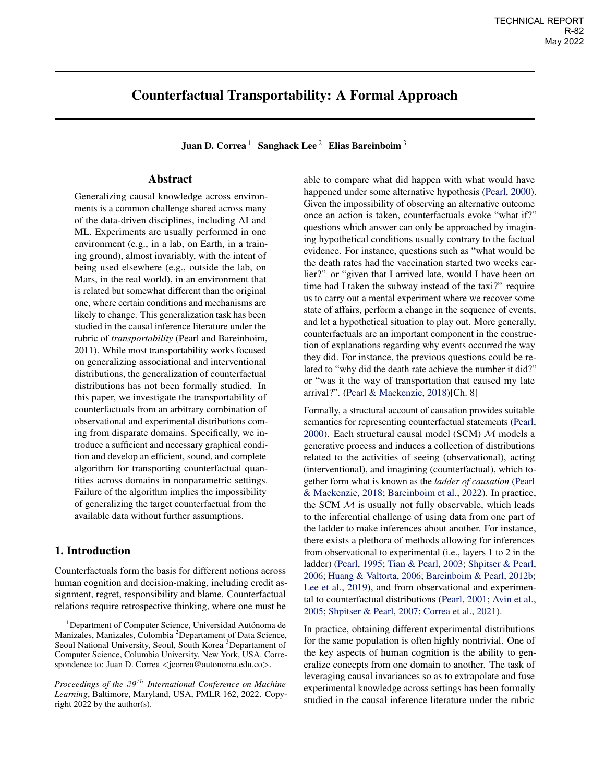# <span id="page-0-0"></span>Counterfactual Transportability: A Formal Approach

Juan D. Correa<sup>1</sup> Sanghack Lee<sup>2</sup> Elias Bareinboim<sup>3</sup>

# Abstract

Generalizing causal knowledge across environments is a common challenge shared across many of the data-driven disciplines, including AI and ML. Experiments are usually performed in one environment (e.g., in a lab, on Earth, in a training ground), almost invariably, with the intent of being used elsewhere (e.g., outside the lab, on Mars, in the real world), in an environment that is related but somewhat different than the original one, where certain conditions and mechanisms are likely to change. This generalization task has been studied in the causal inference literature under the rubric of *transportability* (Pearl and Bareinboim, 2011). While most transportability works focused on generalizing associational and interventional distributions, the generalization of counterfactual distributions has not been formally studied. In this paper, we investigate the transportability of counterfactuals from an arbitrary combination of observational and experimental distributions coming from disparate domains. Specifically, we introduce a sufficient and necessary graphical condition and develop an efficient, sound, and complete algorithm for transporting counterfactual quantities across domains in nonparametric settings. Failure of the algorithm implies the impossibility of generalizing the target counterfactual from the available data without further assumptions.

## <span id="page-0-1"></span>1. Introduction

Counterfactuals form the basis for different notions across human cognition and decision-making, including credit assignment, regret, responsibility and blame. Counterfactual relations require retrospective thinking, where one must be

able to compare what did happen with what would have happened under some alternative hypothesis [\(Pearl,](#page-9-0) [2000\)](#page-9-0). Given the impossibility of observing an alternative outcome once an action is taken, counterfactuals evoke "what if?" questions which answer can only be approached by imagining hypothetical conditions usually contrary to the factual evidence. For instance, questions such as "what would be the death rates had the vaccination started two weeks earlier?" or "given that I arrived late, would I have been on time had I taken the subway instead of the taxi?" require us to carry out a mental experiment where we recover some state of affairs, perform a change in the sequence of events, and let a hypothetical situation to play out. More generally, counterfactuals are an important component in the construction of explanations regarding why events occurred the way they did. For instance, the previous questions could be related to "why did the death rate achieve the number it did?" or "was it the way of transportation that caused my late arrival?". [\(Pearl & Mackenzie,](#page-9-1) [2018\)](#page-9-1)[Ch. 8]

Formally, a structural account of causation provides suitable semantics for representing counterfactual statements [\(Pearl,](#page-9-0) [2000\)](#page-9-0). Each structural causal model (SCM) *M* models a generative process and induces a collection of distributions related to the activities of seeing (observational), acting (interventional), and imagining (counterfactual), which together form what is known as the *ladder of causation* [\(Pearl](#page-9-1) [& Mackenzie,](#page-9-1) [2018;](#page-9-1) [Bareinboim et al.,](#page-8-0) [2022\)](#page-8-0). In practice, the SCM *M* is usually not fully observable, which leads to the inferential challenge of using data from one part of the ladder to make inferences about another. For instance, there exists a plethora of methods allowing for inferences from observational to experimental (i.e., layers 1 to 2 in the ladder) [\(Pearl,](#page-9-2) [1995;](#page-9-2) [Tian & Pearl,](#page-9-3) [2003;](#page-9-3) [Shpitser & Pearl,](#page-9-4) [2006;](#page-9-4) [Huang & Valtorta,](#page-8-1) [2006;](#page-8-1) [Bareinboim & Pearl,](#page-8-2) [2012b;](#page-8-2) [Lee et al.,](#page-8-3) [2019\)](#page-8-3), and from observational and experimental to counterfactual distributions [\(Pearl,](#page-9-5) [2001;](#page-9-5) [Avin et al.,](#page-8-4) [2005;](#page-8-4) [Shpitser & Pearl,](#page-9-6) [2007;](#page-9-6) [Correa et al.,](#page-8-5) [2021\)](#page-8-5).

In practice, obtaining different experimental distributions for the same population is often highly nontrivial. One of the key aspects of human cognition is the ability to generalize concepts from one domain to another. The task of leveraging causal invariances so as to extrapolate and fuse experimental knowledge across settings has been formally studied in the causal inference literature under the rubric

<sup>&</sup>lt;sup>1</sup>Department of Computer Science, Universidad Autónoma de Manizales, Manizales, Colombia<sup>2</sup> Departament of Data Science, Seoul National University, Seoul, South Korea<sup>3</sup> Departament of Computer Science, Columbia University, New York, USA. Correspondence to: Juan D. Correa *<*jcorrea@autonoma.edu.co*>*.

*Proceedings of the 39 th International Conference on Machine Learning*, Baltimore, Maryland, USA, PMLR 162, 2022. Copyright 2022 by the author(s).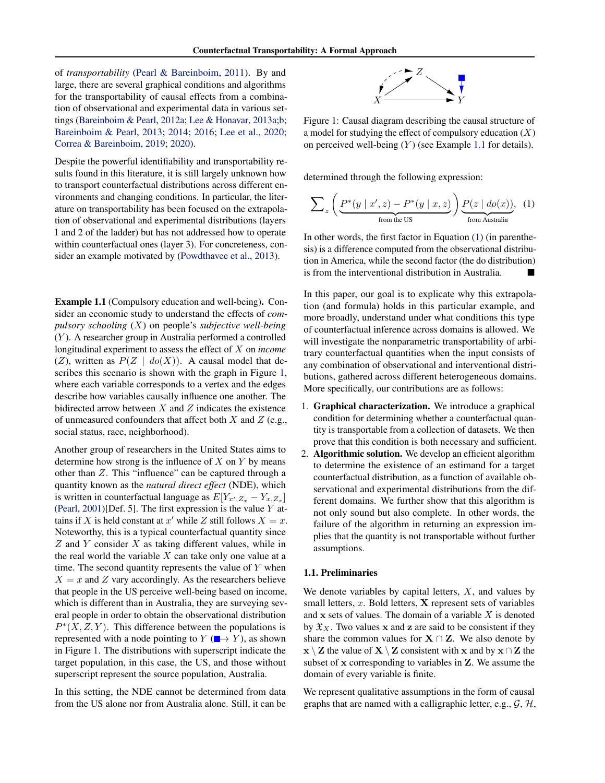of *transportability* [\(Pearl & Bareinboim,](#page-9-7) [2011\)](#page-9-7). By and large, there are several graphical conditions and algorithms for the transportability of causal effects from a combination of observational and experimental data in various settings [\(Bareinboim & Pearl,](#page-8-6) [2012a;](#page-8-6) [Lee & Honavar,](#page-8-7) [2013a;](#page-8-7)[b;](#page-8-8) [Bareinboim & Pearl,](#page-8-9) [2013;](#page-8-9) [2014;](#page-8-10) [2016;](#page-8-11) [Lee et al.,](#page-8-12) [2020;](#page-8-12) [Correa & Bareinboim,](#page-8-13) [2019;](#page-8-13) [2020\)](#page-8-14).

Despite the powerful identifiability and transportability results found in this literature, it is still largely unknown how to transport counterfactual distributions across different environments and changing conditions. In particular, the literature on transportability has been focused on the extrapolation of observational and experimental distributions (layers 1 and 2 of the ladder) but has not addressed how to operate within counterfactual ones (layer 3). For concreteness, consider an example motivated by [\(Powdthavee et al.,](#page-9-8) [2013\)](#page-9-8).

<span id="page-1-1"></span>Example 1.1 (Compulsory education and well-being). Consider an economic study to understand the effects of *compulsory schooling* (*X*) on people's *subjective well-being* (*Y* ). A researcher group in Australia performed a controlled longitudinal experiment to assess the effect of *X* on *income* (*Z*), written as  $P(Z \mid do(X))$ . A causal model that describes this scenario is shown with the graph in Figure [1,](#page-1-0) where each variable corresponds to a vertex and the edges describe how variables causally influence one another. The bidirected arrow between *X* and *Z* indicates the existence of unmeasured confounders that affect both *X* and *Z* (e.g., social status, race, neighborhood).

Another group of researchers in the United States aims to determine how strong is the influence of *X* on *Y* by means other than *Z*. This "influence" can be captured through a quantity known as the *natural direct effect* (NDE), which is written in counterfactual language as  $E[Y_{x',Z_{x}} - Y_{x,Z_{x}}]$ [\(Pearl,](#page-9-5) [2001\)](#page-9-5)[Def. 5]. The first expression is the value *Y* attains if *X* is held constant at  $x'$  while *Z* still follows  $X = x$ . Noteworthy, this is a typical counterfactual quantity since *Z* and *Y* consider *X* as taking different values, while in the real world the variable *X* can take only one value at a time. The second quantity represents the value of *Y* when  $X = x$  and *Z* vary accordingly. As the researchers believe that people in the US perceive well-being based on income, which is different than in Australia, they are surveying several people in order to obtain the observational distribution  $P^*(X, Z, Y)$ . This difference between the populations is represented with a node pointing to  $Y(\rightarrow Y)$ , as shown in Figure [1.](#page-1-0) The distributions with superscript indicate the target population, in this case, the US, and those without superscript represent the source population, Australia.

In this setting, the NDE cannot be determined from data from the US alone nor from Australia alone. Still, it can be

<span id="page-1-2"></span>

<span id="page-1-0"></span>Figure 1: Causal diagram describing the causal structure of a model for studying the effect of compulsory education (*X*) on perceived well-being (*Y* ) (see Example [1.1](#page-1-1) for details).

determined through the following expression:

$$
\sum_{z} \left( \underbrace{P^*(y \mid x', z) - P^*(y \mid x, z)}_{\text{from the US}} \right) \underbrace{P(z \mid \text{do}(x))}_{\text{from Australia}}, \tag{1}
$$

In other words, the first factor in Equation [\(1\)](#page-1-2) (in parenthesis) is a difference computed from the observational distribution in America, while the second factor (the do distribution) is from the interventional distribution in Australia.

In this paper, our goal is to explicate why this extrapolation (and formula) holds in this particular example, and more broadly, understand under what conditions this type of counterfactual inference across domains is allowed. We will investigate the nonparametric transportability of arbitrary counterfactual quantities when the input consists of any combination of observational and interventional distributions, gathered across different heterogeneous domains. More specifically, our contributions are as follows:

- 1. Graphical characterization. We introduce a graphical condition for determining whether a counterfactual quantity is transportable from a collection of datasets. We then prove that this condition is both necessary and sufficient.
- 2. Algorithmic solution. We develop an efficient algorithm to determine the existence of an estimand for a target counterfactual distribution, as a function of available observational and experimental distributions from the different domains. We further show that this algorithm is not only sound but also complete. In other words, the failure of the algorithm in returning an expression implies that the quantity is not transportable without further assumptions.

### 1.1. Preliminaries

We denote variables by capital letters, *X*, and values by small letters, *x*. Bold letters, X represent sets of variables and x sets of values. The domain of a variable *X* is denoted by  $\mathfrak{X}_X$ . Two values x and z are said to be consistent if they share the common values for  $X \cap Z$ . We also denote by  $\mathbf{x} \setminus \mathbf{Z}$  the value of  $\mathbf{X} \setminus \mathbf{Z}$  consistent with  $\mathbf{x}$  and by  $\mathbf{x} \cap \mathbf{Z}$  the subset of x corresponding to variables in Z. We assume the domain of every variable is finite.

We represent qualitative assumptions in the form of causal graphs that are named with a calligraphic letter, e.g., *G*, *H*,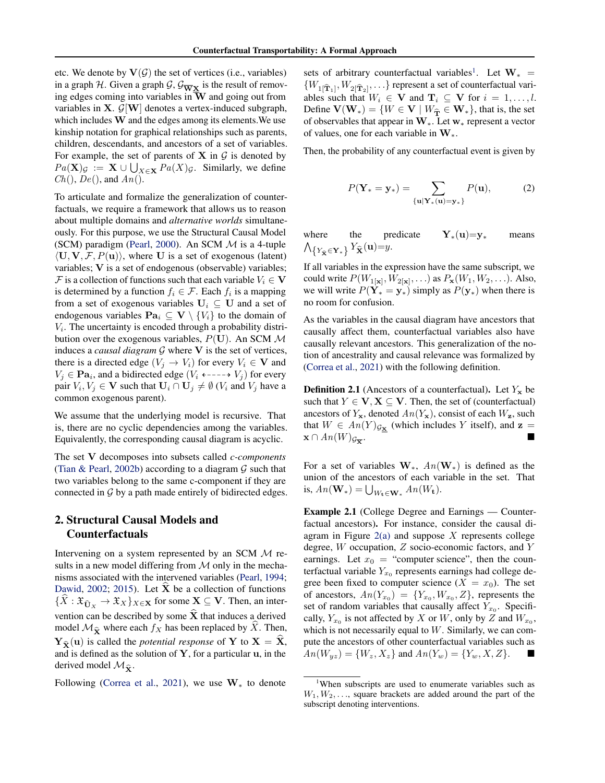etc. We denote by  $V(G)$  the set of vertices (i.e., variables) in a graph *H*. Given a graph *G*,  $G_{\overline{W}X}$  is the result of removing edges coming into variables in  $\overline{W}$  and going out from variables in X. *G*[W] denotes a vertex-induced subgraph, which includes W and the edges among its elements.We use kinship notation for graphical relationships such as parents, children, descendants, and ancestors of a set of variables. For example, the set of parents of  $X$  in  $G$  is denoted by  $Pa(X)_{\mathcal{G}} := X \cup \bigcup_{X \in \mathbf{X}} Pa(X)_{\mathcal{G}}$ . Similarly, we define *Ch*(), *De*(), and *An*().

To articulate and formalize the generalization of counterfactuals, we require a framework that allows us to reason about multiple domains and *alternative worlds* simultaneously. For this purpose, we use the Structural Causal Model (SCM) paradigm [\(Pearl,](#page-9-0) [2000\)](#page-9-0). An SCM *M* is a 4-tuple  $\langle U, V, \mathcal{F}, P(u) \rangle$ , where U is a set of exogenous (latent) variables; V is a set of endogenous (observable) variables; *F* is a collection of functions such that each variable  $V_i \in V$ is determined by a function  $f_i \in \mathcal{F}$ . Each  $f_i$  is a mapping from a set of exogenous variables  $U_i \subseteq U$  and a set of endogenous variables  $\textbf{Pa}_i \subseteq \textbf{V} \setminus \{V_i\}$  to the domain of  $V_i$ . The uncertainty is encoded through a probability distribution over the exogenous variables, *P*(U). An SCM *M* induces a *causal diagram*  $G$  where  $V$  is the set of vertices, there is a directed edge  $(V_j \rightarrow V_i)$  for every  $V_i \in \mathbf{V}$  and  $V_i \in \textbf{Pa}_i$ , and a bidirected edge ( $V_i \leftarrow \rightarrow V_j$ ) for every pair  $V_i, V_j \in \mathbf{V}$  such that  $\mathbf{U}_i \cap \mathbf{U}_j \neq \emptyset$  ( $V_i$  and  $V_j$  have a common exogenous parent).

We assume that the underlying model is recursive. That is, there are no cyclic dependencies among the variables. Equivalently, the corresponding causal diagram is acyclic.

The set V decomposes into subsets called *c-components* [\(Tian & Pearl,](#page-9-9) [2002b\)](#page-9-9) according to a diagram *G* such that two variables belong to the same c-component if they are connected in *G* by a path made entirely of bidirected edges.

# 2. Structural Causal Models and Counterfactuals

Intervening on a system represented by an SCM *M* results in a new model differing from *M* only in the mechanisms associated with the intervened variables [\(Pearl,](#page-9-10) [1994;](#page-9-10) [Dawid,](#page-8-15) [2002;](#page-8-15) [2015\)](#page-8-16). Let  $\hat{\mathbf{X}}$  be a collection of functions  ${X : \mathfrak{X}_{\widehat{\mathbf{U}}_X} \to \mathfrak{X}_X}$  *X*<sub>*K*</sub> for some **X**  $\subseteq$  **V**. Then, an intervention can be described by some  $\hat{\mathbf{X}}$  that induces a derived model  $\mathcal{M}_{\hat{\mathbf{x}}}$  where each  $f_X$  has been replaced by  $\hat{X}$ . Then,  ${\bf Y}_{\widehat{\bf x}}({\bf u})$  is called the *potential response* of Y to  ${\bf X} = \widehat{\bf X}$ , and is defined as the solution of  $Y$ , for a particular  $u$ , in the derived model  $\mathcal{M}_{\hat{\mathbf{x}}}$ .

Following [\(Correa et al.,](#page-8-5) [2021\)](#page-8-5), we use  $W_*$  to denote

sets of arbitrary counterfactual variables<sup>1</sup>. Let  $W_* =$  ${W_{1[\hat{\mathbf{T}}_{1}]}, W_{2[\hat{\mathbf{T}}_{2}]}, \ldots}$  represent a set of counterfactual variables such that  $W_i \in \mathbf{V}$  and  $\mathbf{T}_i \subseteq \mathbf{V}$  for  $i = 1, \ldots, l$ . Define  $V(W_*) = \{W \in V \mid W_{\hat{T}} \in W_*\}$ , that is, the set of observables that appear in  $W_{*}$ . Let  $w_{*}$  represent a vector of values, one for each variable in  $W_*$ .

Then, the probability of any counterfactual event is given by

$$
P(\mathbf{Y}_{*}=\mathbf{y}_{*})=\sum_{\{\mathbf{u}|\mathbf{Y}_{*}(\mathbf{u})=\mathbf{y}_{*}\}} P(\mathbf{u}),
$$
 (2)

where the predicate  $Y_*(u)=y_*$  means  $\bigwedge_{\{Y_{\hat{\mathbf{X}}} \in \mathbf{Y}_*\}} Y_{\hat{\mathbf{X}}}(\mathbf{u}) = y.$ 

If all variables in the expression have the same subscript, we could write  $P(W_{1|x|}, W_{2|x|}, \ldots)$  as  $P_{\mathbf{x}}(W_1, W_2, \ldots)$ . Also, we will write  $P(Y_* = y_*)$  simply as  $P(y_*)$  when there is no room for confusion.

As the variables in the causal diagram have ancestors that causally affect them, counterfactual variables also have causally relevant ancestors. This generalization of the notion of ancestrality and causal relevance was formalized by [\(Correa et al.,](#page-8-5) [2021\)](#page-8-5) with the following definition.

<span id="page-2-2"></span>**Definition 2.1** (Ancestors of a counterfactual). Let  $Y_x$  be such that  $Y \in V$ ,  $X \subseteq V$ . Then, the set of (counterfactual) ancestors of  $Y_x$ , denoted  $An(Y_x)$ , consist of each  $W_z$ , such that  $W \in An(Y)_{\mathcal{G}_{\underline{\mathbf{x}}}}$  (which includes *Y* itself), and  $\mathbf{z} = \mathbf{x} \cap An(W)_{\mathcal{G}^{-}}$ .  $\mathbf{x} \cap An(W)_{\mathcal{G}_{\overline{\mathbf{v}}}}.$ 

For a set of variables  $W_*$ ,  $An(W_*)$  is defined as the union of the ancestors of each variable in the set. That is,  $An(\mathbf{W}_*) = \bigcup_{W_{\mathbf{t}} \in \mathbf{W}_*} An(W_{\mathbf{t}}).$ 

<span id="page-2-1"></span>Example 2.1 (College Degree and Earnings — Counterfactual ancestors). For instance, consider the causal diagram in Figure [2\(a\)](#page-3-0) and suppose *X* represents college degree, *W* occupation, *Z* socio-economic factors, and *Y* earnings. Let  $x_0$  = "computer science", then the counterfactual variable  $Y_{x_0}$  represents earnings had college degree been fixed to computer science  $(X = x_0)$ . The set of ancestors,  $An(Y_{x_0}) = \{Y_{x_0}, W_{x_0}, Z\}$ , represents the set of random variables that causally affect  $Y_{x_0}$ . Specifically,  $Y_{x_0}$  is not affected by *X* or *W*, only by *Z* and  $W_{x_0}$ , which is not necessarily equal to *W*. Similarly, we can compute the ancestors of other counterfactual variables such as  $An(W_{uz}) = \{W_z, X_z\}$  and  $An(Y_w) = \{Y_w, X, Z\}$ .

<span id="page-2-0"></span><sup>&</sup>lt;sup>1</sup>When subscripts are used to enumerate variables such as  $W_1, W_2, \ldots$ , square brackets are added around the part of the subscript denoting interventions.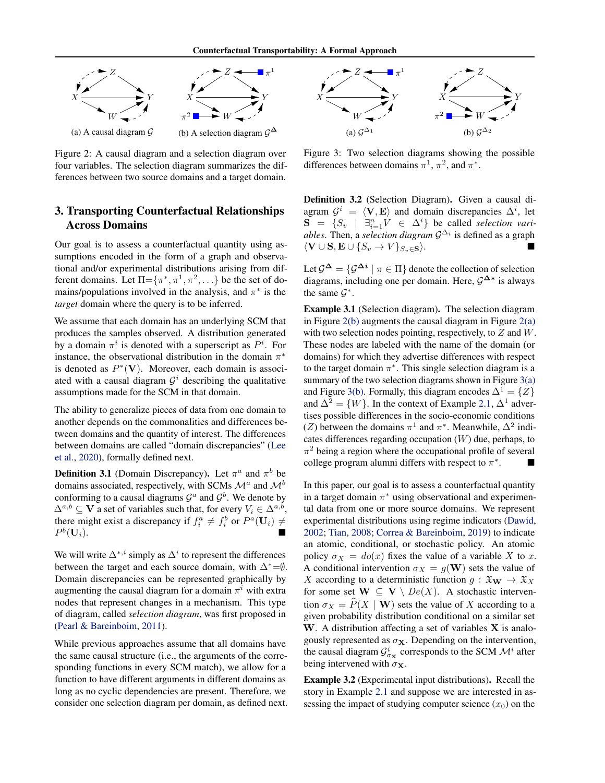<span id="page-3-0"></span>

Figure 2: A causal diagram and a selection diagram over four variables. The selection diagram summarizes the differences between two source domains and a target domain.

# 3. Transporting Counterfactual Relationships Across Domains

Our goal is to assess a counterfactual quantity using assumptions encoded in the form of a graph and observational and/or experimental distributions arising from different domains. Let  $\Pi = \{\pi^*, \pi^1, \pi^2, ...\}$  be the set of domains/populations involved in the analysis, and  $\pi^*$  is the *target* domain where the query is to be inferred.

We assume that each domain has an underlying SCM that produces the samples observed. A distribution generated by a domain  $\pi^i$  is denoted with a superscript as  $P^i$ . For instance, the observational distribution in the domain  $\pi^*$ is denoted as  $P^*(V)$ . Moreover, each domain is associated with a causal diagram  $\mathcal{G}^i$  describing the qualitative assumptions made for the SCM in that domain.

The ability to generalize pieces of data from one domain to another depends on the commonalities and differences between domains and the quantity of interest. The differences between domains are called "domain discrepancies" [\(Lee](#page-8-12) [et al.,](#page-8-12) [2020\)](#page-8-12), formally defined next.

**Definition 3.1** (Domain Discrepancy). Let  $\pi^a$  and  $\pi^b$  be domains associated, respectively, with SCMs *<sup>M</sup><sup>a</sup>* and *<sup>M</sup><sup>b</sup>* conforming to a causal diagrams  $\mathcal{G}^a$  and  $\mathcal{G}^b$ . We denote by  $\Delta^{a,b} \subseteq \mathbf{V}$  a set of variables such that, for every  $V_i \in \Delta^{a,b}$ , there might exist a discrepancy if  $f_i^a \neq f_i^b$  or  $P^a(\mathbf{U}_i) \neq$  $P^b(\mathbf{U}_i)$ .

We will write  $\Delta^{*,i}$  simply as  $\Delta^i$  to represent the differences between the target and each source domain, with  $\Delta^*=\emptyset$ . Domain discrepancies can be represented graphically by augmenting the causal diagram for a domain  $\pi^{i}$  with extra nodes that represent changes in a mechanism. This type of diagram, called *selection diagram*, was first proposed in [\(Pearl & Bareinboim,](#page-9-7) [2011\)](#page-9-7).

While previous approaches assume that all domains have the same causal structure (i.e., the arguments of the corresponding functions in every SCM match), we allow for a function to have different arguments in different domains as long as no cyclic dependencies are present. Therefore, we consider one selection diagram per domain, as defined next.

<span id="page-3-1"></span>

Figure 3: Two selection diagrams showing the possible differences between domains  $\pi^1$ ,  $\pi^2$ , and  $\pi^*$ .

Definition 3.2 (Selection Diagram). Given a causal diagram  $\mathcal{G}^i = \langle \mathbf{V}, \mathbf{E} \rangle$  and domain discrepancies  $\Delta^i$ , let  $S = \{S_v \mid \exists_{i=1}^n V \in \Delta^i\}$  be called *selection variables*. Then, a *selection diagram*  $\mathcal{G}^{\Delta_i}$  is defined as a graph  $\langle \mathbf{V} \cup \mathbf{S}, \mathbf{E} \cup \{S_v \rightarrow V\}_{S_v \in \mathbf{S}} \rangle$ .

Let  $\mathcal{G}^{\Delta} = {\mathcal{G}^{\Delta i} \mid \pi \in \Pi}$  denote the collection of selection diagrams, including one per domain. Here,  $G^{\Delta*}$  is always the same  $\mathcal{G}^*$ .

Example 3.1 (Selection diagram). The selection diagram in Figure  $2(b)$  augments the causal diagram in Figure  $2(a)$ with two selection nodes pointing, respectively, to *Z* and *W*. These nodes are labeled with the name of the domain (or domains) for which they advertise differences with respect to the target domain  $\pi^*$ . This single selection diagram is a summary of the two selection diagrams shown in Figure [3\(a\)](#page-3-1) and Figure [3\(b\).](#page-3-1) Formally, this diagram encodes  $\Delta^1 = \{Z\}$ and  $\Delta^2 = \{W\}$ . In the context of Example [2.1,](#page-2-1)  $\Delta^1$  advertises possible differences in the socio-economic conditions (*Z*) between the domains  $\pi^1$  and  $\pi^*$ . Meanwhile,  $\Delta^2$  indicates differences regarding occupation (*W*) due, perhaps, to  $\pi^2$  being a region where the occupational profile of several college program alumni differs with respect to  $\pi^*$ .

In this paper, our goal is to assess a counterfactual quantity in a target domain  $\pi^*$  using observational and experimental data from one or more source domains. We represent experimental distributions using regime indicators [\(Dawid,](#page-8-15) [2002;](#page-8-15) [Tian,](#page-9-11) [2008;](#page-9-11) [Correa & Bareinboim,](#page-8-13) [2019\)](#page-8-13) to indicate an atomic, conditional, or stochastic policy. An atomic policy  $\sigma_X = do(x)$  fixes the value of a variable X to x. A conditional intervention  $\sigma_X = g(\mathbf{W})$  sets the value of *X* according to a deterministic function  $g : \mathfrak{X}_\mathbf{W} \to \mathfrak{X}_X$ for some set  $W \subseteq V \setminus De(X)$ . A stochastic intervention  $\sigma_X = \hat{P}(X | \mathbf{W})$  sets the value of *X* according to a given probability distribution conditional on a similar set W. A distribution affecting a set of variables  $X$  is analogously represented as  $\sigma_{\mathbf{X}}$ . Depending on the intervention, the causal diagram  $\mathcal{G}^i_{\sigma_\mathbf{X}}$  corresponds to the SCM  $\mathcal{M}^i$  after being intervened with  $\sigma_{\mathbf{X}}$ .

<span id="page-3-2"></span>Example 3.2 (Experimental input distributions). Recall the story in Example [2.1](#page-2-1) and suppose we are interested in assessing the impact of studying computer science  $(x_0)$  on the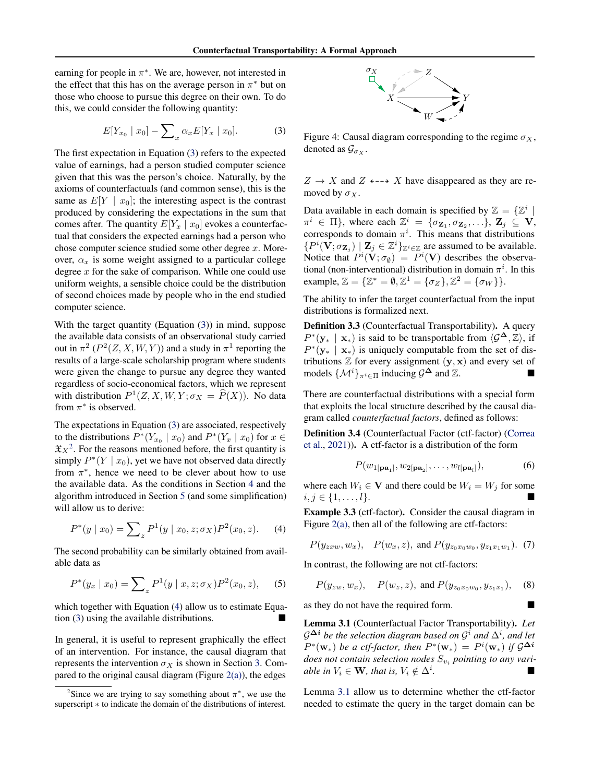earning for people in  $\pi^*$ . We are, however, not interested in the effect that this has on the average person in  $\pi^*$  but on those who choose to pursue this degree on their own. To do this, we could consider the following quantity:

$$
E[Y_{x_0} \mid x_0] - \sum_{x} \alpha_x E[Y_x \mid x_0]. \tag{3}
$$

The first expectation in Equation [\(3\)](#page-4-0) refers to the expected value of earnings, had a person studied computer science given that this was the person's choice. Naturally, by the axioms of counterfactuals (and common sense), this is the same as  $E[Y \mid x_0]$ ; the interesting aspect is the contrast produced by considering the expectations in the sum that comes after. The quantity  $E[Y_x \mid x_0]$  evokes a counterfactual that considers the expected earnings had a person who chose computer science studied some other degree *x*. Moreover,  $\alpha_x$  is some weight assigned to a particular college degree *x* for the sake of comparison. While one could use uniform weights, a sensible choice could be the distribution of second choices made by people who in the end studied computer science.

With the target quantity (Equation [\(3\)](#page-4-0)) in mind, suppose the available data consists of an observational study carried out in  $\pi^2$  ( $P^2(Z, X, W, Y)$ ) and a study in  $\pi^1$  reporting the results of a large-scale scholarship program where students were given the change to pursue any degree they wanted regardless of socio-economical factors, which we represent with distribution  $P^1(Z, X, W, Y; \sigma_X = \hat{P}(X))$ . No data from  $\pi^*$  is observed.

The expectations in Equation [\(3\)](#page-4-0) are associated, respectively to the distributions  $P^*(Y_{x_0} | x_0)$  and  $P^*(Y_x | x_0)$  for  $x \in$  $\mathfrak{X}_X^2$ . For the reasons mentioned before, the first quantity is simply  $P^*(Y | x_0)$ , yet we have not observed data directly from  $\pi^*$ , hence we need to be clever about how to use the available data. As the conditions in Section [4](#page-5-0) and the algorithm introduced in Section [5](#page-7-0) (and some simplification) will allow us to derive:

$$
P^*(y \mid x_0) = \sum_{z} P^1(y \mid x_0, z; \sigma_X) P^2(x_0, z). \tag{4}
$$

The second probability can be similarly obtained from available data as

$$
P^*(y_x \mid x_0) = \sum_z P^1(y \mid x, z; \sigma_X) P^2(x_0, z), \quad (5)
$$

which together with Equation [\(4\)](#page-4-2) allow us to estimate Equation  $(3)$  using the available distributions.

In general, it is useful to represent graphically the effect of an intervention. For instance, the causal diagram that represents the intervention  $\sigma_X$  is shown in Section [3.](#page-4-3) Compared to the original causal diagram (Figure  $2(a)$ ), the edges

<span id="page-4-3"></span>

<span id="page-4-0"></span>Figure 4: Causal diagram corresponding to the regime  $\sigma_X$ , denoted as  $\mathcal{G}_{\sigma_X}$ .

 $Z \rightarrow X$  and  $Z \leftarrow \rightarrow X$  have disappeared as they are removed by  $\sigma_X$ .

Data available in each domain is specified by  $\mathbb{Z} = {\mathbb{Z}^i}$  $\pi^{i} \in \Pi$ , where each  $\mathbb{Z}^{i} = {\sigma_{\mathbf{Z}_{1}}, \sigma_{\mathbf{Z}_{2}}, \ldots}$ ,  $\mathbf{Z}_{j} \subseteq \mathbf{V}$ , corresponds to domain  $\pi^i$ . This means that distributions  $\{P^i(\mathbf{V}; \sigma_{\mathbf{Z}_j}) \mid \mathbf{Z}_j \in \mathbb{Z}^i\}_{\mathbb{Z}^i \in \mathbb{Z}}$  are assumed to be available. Notice that  $P^i(\mathbf{V}; \sigma_{\emptyset}) = P^i(\mathbf{V})$  describes the observational (non-interventional) distribution in domain  $\pi^i$ . In this  $\text{example}, \mathbb{Z} = {\mathbb{Z}^* = \emptyset, \mathbb{Z}^1 = {\sigma_Z}, \mathbb{Z}^2 = {\sigma_W}.$ 

The ability to infer the target counterfactual from the input distributions is formalized next.

Definition 3.3 (Counterfactual Transportability). A query  $P^*(y_* | x_*)$  is said to be transportable from  $\langle \mathcal{G}^{\mathbf{\Delta}}, \mathbb{Z} \rangle$ , if  $P^*(y_* | x_*)$  is uniquely computable from the set of distributions  $\mathbb Z$  for every assignment  $(y, x)$  and every set of models  $\{\mathcal{M}^i\}_{\pi^i \in \Pi}$  inducing  $\mathcal{G}^{\Delta}$  and  $\mathbb{Z}$ .

There are counterfactual distributions with a special form that exploits the local structure described by the causal diagram called *counterfactual factors*, defined as follows:

Definition 3.4 (Counterfactual Factor (ctf-factor) [\(Correa](#page-8-5) [et al.,](#page-8-5) [2021\)](#page-8-5)). A ctf-factor is a distribution of the form

<span id="page-4-5"></span>
$$
P(w_{1[\mathbf{pa}_1]}, w_{2[\mathbf{pa}_2]}, \dots, w_{l[\mathbf{pa}_l]}), \tag{6}
$$

where each  $W_i \in \mathbf{V}$  and there could be  $W_i = W_j$  for some  $i, j \in \{1, \ldots, l\}.$ 

<span id="page-4-2"></span>Example 3.3 (ctf-factor). Consider the causal diagram in Figure [2\(a\),](#page-3-0) then all of the following are ctf-factors:

$$
P(y_{z x w}, w_x), P(w_x, z), \text{ and } P(y_{z_0 x_0 w_0}, y_{z_1 x_1 w_1}).
$$
 (7)

In contrast, the following are not ctf-factors:

$$
P(y_{zw}, w_x), \quad P(w_z, z), \text{ and } P(y_{z_0x_0w_0}, y_{z_1x_1}), \quad (8)
$$

as they do not have the required form.

<span id="page-4-4"></span>Lemma 3.1 (Counterfactual Factor Transportability). *Let*  $G^{\Delta i}$  *be the selection diagram based on*  $G^{i}$  *and*  $\Delta^{i}$ *, and let*  $P^*(\mathbf{w}_*)$  *be a ctf-factor, then*  $P^*(\mathbf{w}_*) = P^i(\mathbf{w}_*)$  *if*  $\mathcal{G}^{\Delta i}$ *does not contain selection nodes S<sup>v</sup><sup>i</sup> pointing to any variable in*  $V_i \in \mathbf{W}$ *, that is,*  $V_i \notin \Delta^i$ *. .* ⌅

Lemma [3.1](#page-4-4) allow us to determine whether the ctf-factor needed to estimate the query in the target domain can be

<span id="page-4-1"></span><sup>&</sup>lt;sup>2</sup>Since we are trying to say something about  $\pi^*$ , we use the superscript  $*$  to indicate the domain of the distributions of interest.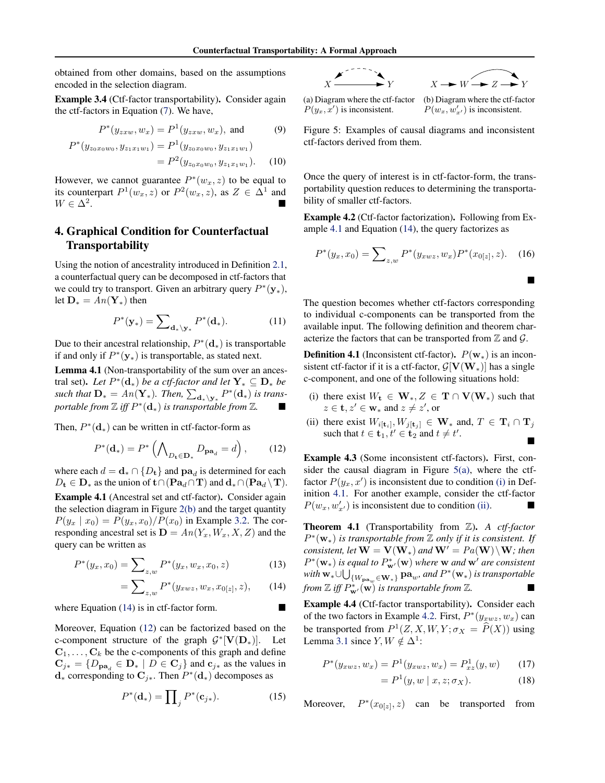obtained from other domains, based on the assumptions encoded in the selection diagram.

Example 3.4 (Ctf-factor transportability). Consider again the ctf-factors in Equation [\(7\)](#page-4-5). We have,

$$
P^*(y_{z x w}, w_x) = P^1(y_{z x w}, w_x), \text{ and } (9)
$$

$$
P^*(y_{z_0x_0w_0}, y_{z_1x_1w_1}) = P^1(y_{z_0x_0w_0}, y_{z_1x_1w_1})
$$
  
= 
$$
P^2(y_{z_0x_0w_0}, y_{z_1x_1w_1}).
$$
 (10)

However, we cannot guarantee  $P^*(w_x, z)$  to be equal to its counterpart  $P^1(w_x, z)$  or  $P^2(w_x, z)$ , as  $Z \in \Delta^1$  and  $W \in \Delta^2$ .  $W \in \Delta^2$ .

# <span id="page-5-0"></span>4. Graphical Condition for Counterfactual Transportability

Using the notion of ancestrality introduced in Definition [2.1,](#page-2-2) a counterfactual query can be decomposed in ctf-factors that we could try to transport. Given an arbitrary query  $P^*(y_*)$ , let  $\mathbf{D}_{*} = An(\mathbf{Y}_{*})$  then

$$
P^*(\mathbf{y}_*) = \sum_{\mathbf{d}_*\backslash \mathbf{y}_*} P^*(\mathbf{d}_*). \tag{11}
$$

Due to their ancestral relationship,  $P^*(d_*)$  is transportable if and only if  $P^*(y_*)$  is transportable, as stated next.

<span id="page-5-10"></span>Lemma 4.1 (Non-transportability of the sum over an ancestral set). Let  $P^*(d_*)$  *be a ctf-factor and let*  $Y_* \subseteq D_*$  *be* such that  $\mathbf{D}_{*} = An(\mathbf{Y}_{*})$ . Then,  $\sum_{\mathbf{d}_{*} \setminus \mathbf{y}_{*}} P^{*}(\mathbf{d}_{*})$  is trans*portable from*  $\mathbb{Z}$  *iff*  $P^*(d_*)$  *is transportable from*  $\mathbb{Z}$ *.* 

Then,  $P^*(d_*)$  can be written in ctf-factor-form as

$$
P^*(\mathbf{d}_*) = P^*\left(\bigwedge\nolimits_{D_\mathbf{t}\in\mathbf{D}_*} D_{\mathbf{pa}_d} = d\right),\tag{12}
$$

where each  $d = \mathbf{d} \cdot \cap \{D_t\}$  and  $\mathbf{pa}_d$  is determined for each  $D_t \in \mathbf{D}_*$  as the union of  $t \cap (\mathbf{Pa}_d \cap \mathbf{T})$  and  $\mathbf{d}_* \cap (\mathbf{Pa}_d \setminus \mathbf{T})$ .

<span id="page-5-3"></span>Example 4.1 (Ancestral set and ctf-factor). Consider again the selection diagram in Figure [2\(b\)](#page-3-0) and the target quantity  $P(y_x | x_0) = P(y_x, x_0) / P(x_0)$  in Example [3.2.](#page-3-2) The corresponding ancestral set is  $D = An(Y_x, W_x, X, Z)$  and the query can be written as

$$
P^*(y_x, x_0) = \sum_{z,w} P^*(y_x, w_x, x_0, z) \tag{13}
$$

$$
= \sum_{z,w} P^*(y_{xwz}, w_x, x_{0[z]}, z), \qquad (14)
$$

where Equation  $(14)$  is in ctf-factor form.

Moreover, Equation [\(12\)](#page-5-2) can be factorized based on the c-component structure of the graph  $G^*[\mathbf{V}(\mathbf{D}_*)]$ . Let  $C_1, \ldots, C_k$  be the c-components of this graph and define  $\mathbf{C}_{j*} = \{D_{\mathbf{pa}_d} \in \mathbf{D}_* \mid D \in \mathbf{C}_j\}$  and  $\mathbf{c}_{j*}$  as the values in  $\mathbf{d}_*$  corresponding to  $\mathbf{C}_{i*}$ . Then  $P^*(\mathbf{d}_*)$  decomposes as

$$
P^*(\mathbf{d}_*) = \prod_j P^*(\mathbf{c}_{j*}).\tag{15}
$$

<span id="page-5-4"></span>

(a) Diagram where the ctf-factor  $P(y_x, x')$  is inconsistent.

(b) Diagram where the ctf-factor  $P(w_x, w'_{x'})$  is inconsistent.

Figure 5: Examples of causal diagrams and inconsistent ctf-factors derived from them.

Once the query of interest is in ctf-factor-form, the transportability question reduces to determining the transportability of smaller ctf-factors.

<span id="page-5-8"></span>Example 4.2 (Ctf-factor factorization). Following from Example [4.1](#page-5-3) and Equation [\(14\)](#page-5-1), the query factorizes as

$$
P^*(y_x, x_0) = \sum_{z,w} P^*(y_{xwz}, w_x) P^*(x_{0[z]}, z).
$$
 (16)

The question becomes whether ctf-factors corresponding to individual c-components can be transported from the available input. The following definition and theorem characterize the factors that can be transported from  $\mathbb Z$  and  $\mathcal G$ .

<span id="page-5-6"></span>**Definition 4.1** (Inconsistent ctf-factor).  $P(\mathbf{w}_*)$  is an inconsistent ctf-factor if it is a ctf-factor,  $G[V(W_*)]$  has a single c-component, and one of the following situations hold:

- <span id="page-5-5"></span>(i) there exist  $W_t \in W_*, Z \in T \cap V(W_*)$  such that  $z \in \mathbf{t}, z' \in \mathbf{w}_*$  and  $z \neq z'$ , or
- <span id="page-5-7"></span>(ii) there exist  $W_{i[t_i]}, W_{j[t_j]} \in \mathbf{W}_*$  and,  $T \in \mathbf{T}_i \cap \mathbf{T}_j$ such that  $t \in \mathbf{t}_1, t' \in \mathbf{t}_2$  and  $t \neq t'$  $\mathbf{r} = \mathbf{r} \times \mathbf{r}$

<span id="page-5-2"></span>Example 4.3 (Some inconsistent ctf-factors). First, consider the causal diagram in Figure  $5(a)$ , where the ctffactor  $P(y_x, x')$  is inconsistent due to condition [\(i\)](#page-5-5) in Definition [4.1.](#page-5-6) For another example, consider the ctf-factor  $P(w_x, w'_{x'})$  is inconsistent due to condition [\(ii\).](#page-5-7)

<span id="page-5-11"></span>Theorem 4.1 (Transportability from Z). *A ctf-factor*  $P^*(\mathbf{w}_*)$  *is transportable from*  $\mathbb Z$  *only if it is consistent. If consistent, let*  $W = V(W_*)$  *and*  $W' = Pa(W) \setminus W$ *; then*  $P^*(\mathbf{w}_*)$  *is equal to*  $P^*_{\mathbf{w}'}(\mathbf{w})$  where **w** and  $\mathbf{w}'$  are consistent  $\text{with } \mathbf{w}_* \cup \bigcup_{\{W_{\mathbf{pa}_w} \in \mathbf{W}_*\}} \mathbf{pa}_w$ *, and*  $P^*(\mathbf{w}_*)$  *is transportable from*  $\mathbb{Z}$  *iff*  $P^*_{\mathbf{w}'}(\mathbf{w})$  *is transportable from*  $\mathbb{Z}$ *.* 

<span id="page-5-1"></span>Example 4.4 (Ctf-factor transportability). Consider each of the two factors in Example [4.2.](#page-5-8) First,  $P^*(y_{xwz}, w_x)$  can be transported from  $P^1(Z, X, W, Y; \sigma_X = \hat{P}(X))$  using Lemma [3.1](#page-4-4) since *Y*,  $W \notin \Delta^1$ :

$$
P^*(y_{xwz}, w_x) = P^1(y_{xwz}, w_x) = P^1_{xz}(y, w)
$$
 (17)

<span id="page-5-9"></span>
$$
= P1(y, w | x, z; \sigma_X). \tag{18}
$$

Moreover,  $P^*(x_{0}[z], z)$  can be transported from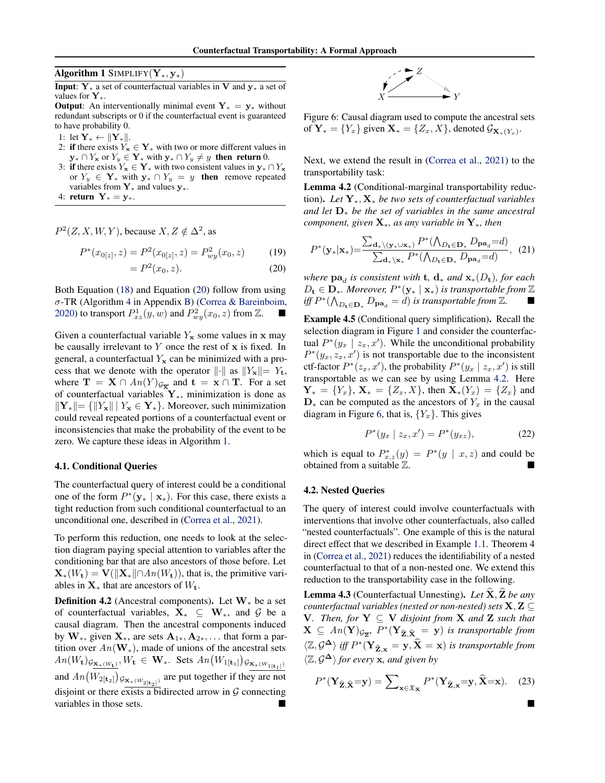<span id="page-6-1"></span>Algorithm 1 SIMPLIFY $(Y_*, y_*)$ 

**Input:**  $Y_*$  a set of counterfactual variables in V and  $y_*$  a set of values for  $Y_{\star}$ .

**Output:** An interventionally minimal event  $Y_* = y_*$  without redundant subscripts or 0 if the counterfactual event is guaranteed to have probability 0.

- 1: let  $\mathbf{Y}_{*} \leftarrow ||\mathbf{Y}_{*}||.$
- 2: if there exists  $Y_x \in Y_*$  with two or more different values in  $y_* \cap Y_x$  or  $Y_y \in Y_*$  with  $y_* \cap Y_y \neq y$  then return 0.
- 3: **if** there exists  $Y_x \in Y_*$  with two consistent values in  $y_* \cap Y_x$ or  $Y_y \in Y_*$  with  $y_* \cap Y_y = y$  then remove repeated variables from  $Y_*$  and values  $y_*$ .
- 4: return  $Y_* = y_*$ .

 $P^2(Z, X, W, Y)$ , because  $X, Z \notin \Delta^2$ , as

$$
P^*(x_{0[z]}, z) = P^2(x_{0[z]}, z) = P^2_{wy}(x_0, z)
$$
(19)  
=  $P^2(x_0, z)$ . (20)

Both Equation [\(18\)](#page-5-9) and Equation [\(20\)](#page-6-0) follow from using  $\sigma$ -TR (Algorithm [4](#page-0-0) in Appendix [B\)](#page-0-1) [\(Correa & Bareinboim,](#page-8-14) [2020\)](#page-8-14) to transport  $P_{xz}^1(y, w)$  and  $P_{wy}^2(x_0, z)$  from  $\mathbb{Z}$ .

Given a counterfactual variable  $Y_x$  some values in x may be causally irrelevant to *Y* once the rest of x is fixed. In general, a counterfactual  $Y_x$  can be minimized with a process that we denote with the operator  $\|\cdot\|$  as  $\|Y_x\|= Y_t$ , where  $\mathbf{T} = \mathbf{X} \cap An(Y)_{\mathcal{G}_{\overline{X}}}$  and  $\mathbf{t} = \mathbf{x} \cap \mathbf{T}$ . For a set of counterfactual variables  $Y_*,$  minimization is done as  $||\mathbf{Y}_*|| = {||Y_{\mathbf{x}}|| \mid Y_{\mathbf{x}} \in \mathbf{Y}_*}.$  Moreover, such minimization could reveal repeated portions of a counterfactual event or inconsistencies that make the probability of the event to be zero. We capture these ideas in Algorithm [1.](#page-6-1)

#### 4.1. Conditional Queries

The counterfactual query of interest could be a conditional one of the form  $P^*(y_* | x_*)$ . For this case, there exists a tight reduction from such conditional counterfactual to an unconditional one, described in [\(Correa et al.,](#page-8-5) [2021\)](#page-8-5).

To perform this reduction, one needs to look at the selection diagram paying special attention to variables after the conditioning bar that are also ancestors of those before. Let  $\mathbf{X}_*(W_t) = \mathbf{V}(\|\mathbf{X}_*\| \cap An(W_t)),$  that is, the primitive variables in  $X_*$  that are ancestors of  $W_t$ .

**Definition 4.2** (Ancestral components). Let  $W_*$  be a set of counterfactual variables,  $X_* \subseteq W_*$ , and  $G$  be a causal diagram. Then the ancestral components induced by  $W_*$ , given  $X_*$ , are sets  $A_{1*}, A_{2*}, \ldots$  that form a partition over  $An(\mathbf{W}_*)$ , made of unions of the ancestral sets  $An(W_{\mathbf{t}})_{\mathcal{G}_{\mathbf{X}_*(W_{\mathbf{t}})}}$ ,  $W_{\mathbf{t}} \in \mathbf{W}_*$ . Sets  $An(W_{1[\mathbf{t}_1]})_{\mathcal{G}_{\mathbf{X}_*(W_{1[\mathbf{t}_1]})}}$ and  $An(W_{2[t_2]})_{\mathcal{G}_{\mathbf{X}*}(W_{2[t_2]})}$  are put together if they are not disjoint or there exists a bidirected arrow in *G* connecting variables in those sets.



<span id="page-6-3"></span>Figure 6: Causal diagram used to compute the ancestral sets of  $Y_* = \{Y_x\}$  given  $X_* = \{Z_x, X\}$ , denoted  $\mathcal{G}_{X_*}(Y_x)$ .

Next, we extend the result in [\(Correa et al.,](#page-8-5) [2021\)](#page-8-5) to the transportability task:

<span id="page-6-2"></span>Lemma 4.2 (Conditional-marginal transportability reduction). Let  $Y_*, X_*$  be two sets of counterfactual variables *and let* D⇤ *be the set of variables in the same ancestral component, given*  $X_*$ *, as any variable in*  $Y_*$ *, then* 

<span id="page-6-5"></span>
$$
P^*(\mathbf{y}_*|\mathbf{x}_*) = \frac{\sum_{\mathbf{d}_* \setminus (\mathbf{y}_* \cup \mathbf{x}_*)} P^*(\bigwedge_{D_{\mathbf{t}} \in \mathbf{D}_*} D_{\mathbf{pa}_d} = d)}{\sum_{\mathbf{d}_* \setminus \mathbf{x}_*} P^*(\bigwedge_{D_{\mathbf{t}} \in \mathbf{D}_*} D_{\mathbf{pa}_d} = d)}, \tag{21}
$$

<span id="page-6-0"></span>*where*  $\mathbf{pa}_d$  *is consistent with* **t**,  $\mathbf{d}_*$  *and*  $\mathbf{x}_*(D_t)$ *, for each*  $D_t \in \mathbf{D}_*$ *. Moreover,*  $P^*(\mathbf{y}_* | \mathbf{x}_*)$  *is transportable from*  $\mathbb{Z}$ *iff*  $P^*(\bigwedge_{D_{\mathbf{t}} \in \mathbf{D}_*} D_{\mathbf{pa}_d} = d)$  *is transportable from* ℤ. ■

Example 4.5 (Conditional query simplification). Recall the selection diagram in Figure [1](#page-1-0) and consider the counterfactual  $P^*(y_x \mid z_x, x')$ . While the unconditional probability  $P^{*}(y_x, z_x, x')$  is not transportable due to the inconsistent ctf-factor  $P^*(z_x, x')$ , the probability  $P^*(y_x \mid z_x, x')$  is still transportable as we can see by using Lemma [4.2.](#page-6-2) Here  $Y_* = \{Y_x\}, X_* = \{Z_x, X\},\$  then  $X_*(Y_x) = \{Z_x\}$  and  $\mathbf{D}_{*}$  can be computed as the ancestors of  $Y_x$  in the causal diagram in Figure [6,](#page-6-3) that is,  ${Y_x}$ . This gives

$$
P^*(y_x \mid z_x, x') = P^*(y_{xz}), \tag{22}
$$

which is equal to  $P_{x,z}^*(y) = P^*(y | x, z)$  and could be obtained from a suitable  $\mathbb Z$ .

#### 4.2. Nested Queries

The query of interest could involve counterfactuals with interventions that involve other counterfactuals, also called "nested counterfactuals". One example of this is the natural direct effect that we described in Example [1.1.](#page-1-1) Theorem 4 in [\(Correa et al.,](#page-8-5) [2021\)](#page-8-5) reduces the identifiability of a nested counterfactual to that of a non-nested one. We extend this reduction to the transportability case in the following.

<span id="page-6-4"></span>**Lemma 4.3** (Counterfactual Unnesting). Let  $\hat{\mathbf{X}}$ ,  $\hat{\mathbf{Z}}$  be any *counterfactual variables (nested or non-nested) sets*  $X, Z \subseteq$  $V$ *. Then, for*  $Y \subseteq V$  *disjoint from*  $X$  *and*  $Z$  *such that*  $\mathbf{X} \subseteq An(\mathbf{Y})_{\mathcal{G}_{\overline{\mathbf{Z}}}}, P^*(\mathbf{Y}_{\widehat{\mathbf{Z}},\widehat{\mathbf{X}}}=\mathbf{y})$  *is transportable from*  $\langle \mathbb{Z}, \mathcal{G}^{\Delta} \rangle$  *iff*  $P^*(\mathbf{Y}_{\widehat{\mathbf{Z}}, \mathbf{x}} = \mathbf{y}, \widehat{\mathbf{X}} = \mathbf{x})$  *is transportable from*  $\langle \mathbb{Z}, \mathcal{G}^{\Delta} \rangle$  for every **x**, and given by

$$
P^*(\mathbf{Y}_{\widehat{\mathbf{Z}}, \widehat{\mathbf{X}}} = \mathbf{y}) = \sum_{\mathbf{x} \in \mathfrak{X}_{\mathbf{X}}} P^*(\mathbf{Y}_{\widehat{\mathbf{Z}}, \mathbf{x}} = \mathbf{y}, \widehat{\mathbf{X}} = \mathbf{x}). \tag{23}
$$

⌅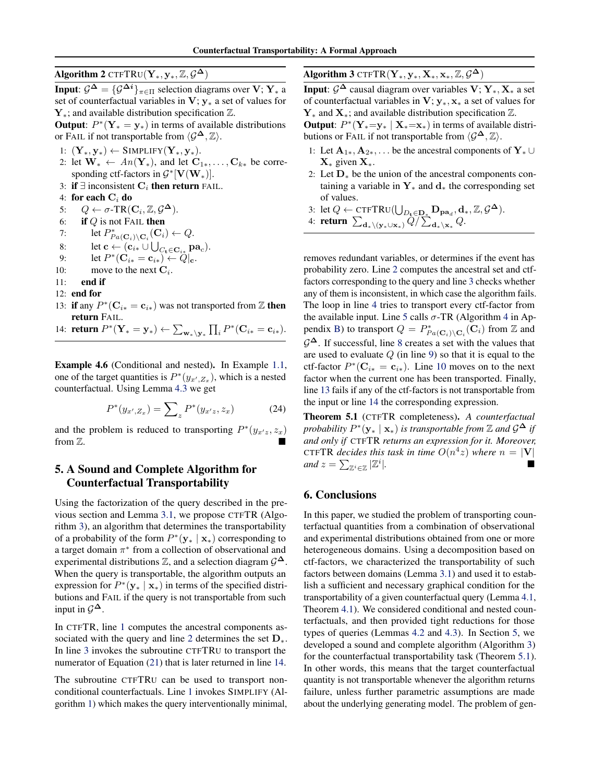Algorithm 2 CTFTRU $(Y_*, y_*, \mathbb{Z}, \mathcal{G}^{\Delta})$ 

**Input:**  $\mathcal{G}^{\Delta} = {\mathcal{G}^{\Delta i}}_{\pi \in \Pi}$  selection diagrams over  $V: Y_*$  a set of counterfactual variables in  $V$ ;  $y_*$  a set of values for  $Y_*$ ; and available distribution specification  $\mathbb{Z}$ .

**Output:**  $P^*(Y_* = y_*)$  in terms of available distributions or FAIL if not transportable from  $\langle \mathcal{G}^{\Delta}, \mathbb{Z} \rangle$ .

- <span id="page-7-6"></span>1:  $(\mathbf{Y}_*, \mathbf{y}_*) \leftarrow \text{SIMPLIFY}(\mathbf{Y}_*, \mathbf{y}_*)$ .
- 2: let  $\mathbf{W}_{*} \leftarrow An(\mathbf{Y}_{*})$ , and let  $\mathbf{C}_{1*}, \ldots, \mathbf{C}_{k*}$  be corresponding ctf-factors in  $\mathcal{G}^*[\mathbf{V}(\mathbf{W}_*)]$ .
- 3: if  $\exists$  inconsistent  $C_i$  then return FAIL.
- 4: for each C*<sup>i</sup>* do

<span id="page-7-10"></span>5:  $Q \leftarrow \sigma\text{-TR}(\mathbf{C}_i, \mathbb{Z}, \mathcal{G}^{\Delta})$ .<br>6: **if** *Q* is not FAIL **then** 

- if  $Q$  is not FAIL then
- 7: let  $P_{Pa(C_i)\setminus\textbf{C}_i}^*(\textbf{C}_i) \leftarrow Q$ .
- 8: let  $\mathbf{c} \leftarrow (\mathbf{c}_{i\ast} \cup \bigcup_{C_{t} \in \mathbf{C}_{i\ast}} \mathbf{pa}_{c}).$
- 9: let  $P^*(\mathbf{C}_{i*} = \mathbf{c}_{i*}) \leftarrow Q|_{\mathbf{c}}$ .<br>10: move to the next  $\mathbf{C}_i$ .
- move to the next  $\mathbf{C}_i$ .
- 11: end if
- <span id="page-7-14"></span>12: end for
- <span id="page-7-5"></span>13: **if** any  $P^*(\mathbf{C}_{i*} = \mathbf{c}_{i*})$  was not transported from  $\mathbb{Z}$  then return FAIL.

14: **return**  $P^*(\mathbf{Y}_* = \mathbf{y}_*) \leftarrow \sum_{\mathbf{w}_* \setminus \mathbf{y}_*} \prod_i P^*(\mathbf{C}_{i*} = \mathbf{c}_{i*}).$ 

Example 4.6 (Conditional and nested). In Example [1.1,](#page-1-1) one of the target quantities is  $P^*(y_{x',Z_x})$ , which is a nested counterfactual. Using Lemma [4.3](#page-6-4) we get

$$
P^*(y_{x',Z_x}) = \sum_{z} P^*(y_{x',z}, z_x)
$$
 (24)

and the problem is reduced to transporting  $P^*(y_{x,z}, z_x)$ from  $\mathbb{Z}$ .

# <span id="page-7-0"></span>5. A Sound and Complete Algorithm for Counterfactual Transportability

Using the factorization of the query described in the previous section and Lemma [3.1,](#page-4-4) we propose CTFTR (Algorithm [3\)](#page-7-1), an algorithm that determines the transportability of a probability of the form  $P^*(y_* | x_*)$  corresponding to a target domain  $\pi^*$  from a collection of observational and experimental distributions  $\mathbb{Z}$ , and a selection diagram  $\mathcal{G}^{\Delta}$ . When the query is transportable, the algorithm outputs an expression for  $P^*(y_* | x_*)$  in terms of the specified distributions and FAIL if the query is not transportable from such input in  $\mathcal{G}^{\Delta}$ .

In CTFTR, line [1](#page-7-2) computes the ancestral components as-sociated with the query and line [2](#page-7-3) determines the set  $D_{\ast}$ . In line [3](#page-7-4) invokes the subroutine CTFTRU to transport the numerator of Equation [\(21\)](#page-6-5) that is later returned in line [14.](#page-7-5)

The subroutine CTFTRU can be used to transport nonconditional counterfactuals. Line [1](#page-7-6) invokes SIMPLIFY (Algorithm [1\)](#page-6-1) which makes the query interventionally minimal, <span id="page-7-1"></span>Algorithm 3 CTFTR $(Y_*, y_*, X_*, x_*, \mathbb{Z}, \mathcal{G}^{\Delta})$ 

**Input**:  $\mathcal{G}^{\Delta}$  causal diagram over variables  $V: Y_*, X_*$  a set of counterfactual variables in  $V$ ;  $y_*, x_*$  a set of values for  $Y_*$  and  $X_*$ ; and available distribution specification  $\mathbb{Z}$ .

<span id="page-7-7"></span>**Output:**  $P^*(Y_*=y_* | X_*=x_*)$  in terms of available distributions or FAIL if not transportable from  $\langle \mathcal{G}^{\Delta}, \mathbb{Z} \rangle$ .

- <span id="page-7-3"></span><span id="page-7-2"></span>1: Let  $A_{1*}, A_{2*}, \ldots$  be the ancestral components of  $Y_* \cup$  $X_*$  given  $X_*$ .
- <span id="page-7-9"></span><span id="page-7-8"></span>2: Let  $D_*$  be the union of the ancestral components containing a variable in  $Y_*$  and  $d_*$  the corresponding set of values.
- <span id="page-7-4"></span>3: let  $Q \leftarrow \text{CTFTRU}(\bigcup_{D_t \in \mathbf{D}_*} \mathbf{D}_{\mathbf{pa}_d}, \mathbf{d}_*, \mathbb{Z}, \mathcal{G}^{\Delta}).$

4: return  $\sum_{\mathbf{d}_* \setminus (\mathbf{y}_* \cup \mathbf{x}_*)} Q / \sum_{\mathbf{d}_* \setminus \mathbf{x}_*} Q$ .

<span id="page-7-13"></span><span id="page-7-12"></span><span id="page-7-11"></span>removes redundant variables, or determines if the event has probability zero. Line [2](#page-7-7) computes the ancestral set and ctffactors corresponding to the query and line [3](#page-7-8) checks whether any of them is inconsistent, in which case the algorithm fails. The loop in line [4](#page-7-9) tries to transport every ctf-factor from the available input. Line [5](#page-7-10) calls  $\sigma$ -TR (Algorithm [4](#page-0-0) in Ap-pendix [B\)](#page-0-1) to transport  $Q = P^*_{Pa(\mathbf{C}_i) \setminus \mathbf{C}_i}(\mathbf{C}_i)$  from  $\mathbb Z$  and  $\mathcal{G}^{\Delta}$ . If successful, line [8](#page-7-11) creates a set with the values that are used to evaluate *Q* (in line [9\)](#page-7-12) so that it is equal to the ctf-factor  $P^*(C_{i*} = c_{i*})$ . Line [10](#page-7-13) moves on to the next factor when the current one has been transported. Finally, line [13](#page-7-14) fails if any of the ctf-factors is not transportable from the input or line [14](#page-7-5) the corresponding expression.

<span id="page-7-15"></span>Theorem 5.1 (CTFTR completeness). *A counterfactual probability*  $P^*(y_* | x_*)$  *is transportable from* Z *and*  $\mathcal{G}^{\Delta}$  *if and only if* CTFTR *returns an expression for it. Moreover,* CTFTR *decides this task in time*  $O(n^4z)$  *where*  $n = |\mathbf{V}|$ *<br>and*  $z = \sum_{\substack{n \neq j}} |\mathbb{Z}^i|$ *and*  $z = \sum_{\mathbb{Z}^i \in \mathbb{Z}} |\mathbb{Z}^i|$ *|.* ⌅

## 6. Conclusions

In this paper, we studied the problem of transporting counterfactual quantities from a combination of observational and experimental distributions obtained from one or more heterogeneous domains. Using a decomposition based on ctf-factors, we characterized the transportability of such factors between domains (Lemma [3.1\)](#page-4-4) and used it to establish a sufficient and necessary graphical condition for the transportability of a given counterfactual query (Lemma [4.1,](#page-5-10) Theorem [4.1\)](#page-5-11). We considered conditional and nested counterfactuals, and then provided tight reductions for those types of queries (Lemmas [4.2](#page-6-2) and [4.3\)](#page-6-4). In Section [5,](#page-7-0) we developed a sound and complete algorithm (Algorithm [3\)](#page-7-1) for the counterfactual transportability task (Theorem [5.1\)](#page-7-15). In other words, this means that the target counterfactual quantity is not transportable whenever the algorithm returns failure, unless further parametric assumptions are made about the underlying generating model. The problem of gen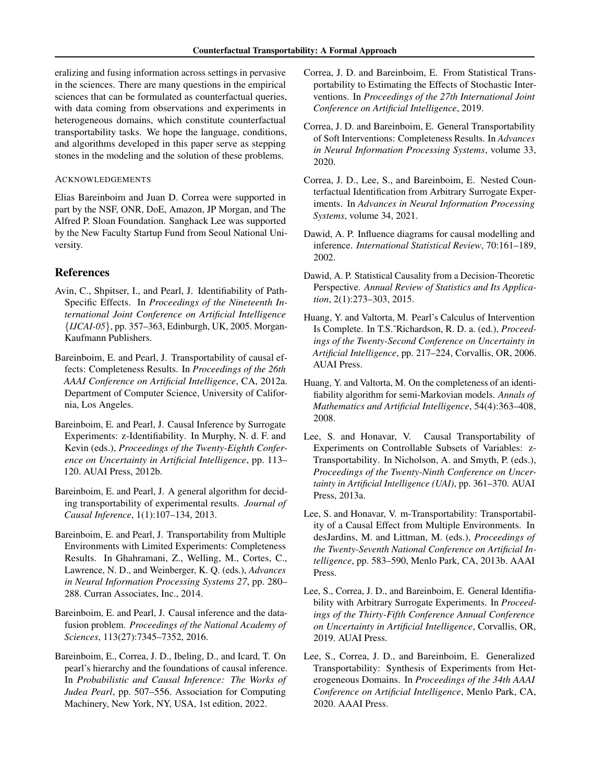eralizing and fusing information across settings in pervasive in the sciences. There are many questions in the empirical sciences that can be formulated as counterfactual queries, with data coming from observations and experiments in heterogeneous domains, which constitute counterfactual transportability tasks. We hope the language, conditions, and algorithms developed in this paper serve as stepping stones in the modeling and the solution of these problems.

#### ACKNOWLEDGEMENTS

Elias Bareinboim and Juan D. Correa were supported in part by the NSF, ONR, DoE, Amazon, JP Morgan, and The Alfred P. Sloan Foundation. Sanghack Lee was supported by the New Faculty Startup Fund from Seoul National University.

## References

- <span id="page-8-4"></span>Avin, C., Shpitser, I., and Pearl, J. Identifiability of Path-Specific Effects. In *Proceedings of the Nineteenth International Joint Conference on Artificial Intelligence {IJCAI-05}*, pp. 357–363, Edinburgh, UK, 2005. Morgan-Kaufmann Publishers.
- <span id="page-8-6"></span>Bareinboim, E. and Pearl, J. Transportability of causal effects: Completeness Results. In *Proceedings of the 26th AAAI Conference on Artificial Intelligence*, CA, 2012a. Department of Computer Science, University of California, Los Angeles.
- <span id="page-8-2"></span>Bareinboim, E. and Pearl, J. Causal Inference by Surrogate Experiments: z-Identifiability. In Murphy, N. d. F. and Kevin (eds.), *Proceedings of the Twenty-Eighth Conference on Uncertainty in Artificial Intelligence*, pp. 113– 120. AUAI Press, 2012b.
- <span id="page-8-9"></span>Bareinboim, E. and Pearl, J. A general algorithm for deciding transportability of experimental results. *Journal of Causal Inference*, 1(1):107–134, 2013.
- <span id="page-8-10"></span>Bareinboim, E. and Pearl, J. Transportability from Multiple Environments with Limited Experiments: Completeness Results. In Ghahramani, Z., Welling, M., Cortes, C., Lawrence, N. D., and Weinberger, K. Q. (eds.), *Advances in Neural Information Processing Systems 27*, pp. 280– 288. Curran Associates, Inc., 2014.
- <span id="page-8-11"></span>Bareinboim, E. and Pearl, J. Causal inference and the datafusion problem. *Proceedings of the National Academy of Sciences*, 113(27):7345–7352, 2016.
- <span id="page-8-0"></span>Bareinboim, E., Correa, J. D., Ibeling, D., and Icard, T. On pearl's hierarchy and the foundations of causal inference. In *Probabilistic and Causal Inference: The Works of Judea Pearl*, pp. 507–556. Association for Computing Machinery, New York, NY, USA, 1st edition, 2022.
- <span id="page-8-13"></span>Correa, J. D. and Bareinboim, E. From Statistical Transportability to Estimating the Effects of Stochastic Interventions. In *Proceedings of the 27th International Joint Conference on Artificial Intelligence*, 2019.
- <span id="page-8-14"></span>Correa, J. D. and Bareinboim, E. General Transportability of Soft Interventions: Completeness Results. In *Advances in Neural Information Processing Systems*, volume 33, 2020.
- <span id="page-8-5"></span>Correa, J. D., Lee, S., and Bareinboim, E. Nested Counterfactual Identification from Arbitrary Surrogate Experiments. In *Advances in Neural Information Processing Systems*, volume 34, 2021.
- <span id="page-8-15"></span>Dawid, A. P. Influence diagrams for causal modelling and inference. *International Statistical Review*, 70:161–189, 2002.
- <span id="page-8-16"></span>Dawid, A. P. Statistical Causality from a Decision-Theoretic Perspective. *Annual Review of Statistics and Its Application*, 2(1):273–303, 2015.
- <span id="page-8-1"></span>Huang, Y. and Valtorta, M. Pearl's Calculus of Intervention Is Complete. In T.S.˜Richardson, R. D. a. (ed.), *Proceedings of the Twenty-Second Conference on Uncertainty in Artificial Intelligence*, pp. 217–224, Corvallis, OR, 2006. AUAI Press.
- Huang, Y. and Valtorta, M. On the completeness of an identifiability algorithm for semi-Markovian models. *Annals of Mathematics and Artificial Intelligence*, 54(4):363–408, 2008.
- <span id="page-8-7"></span>Lee, S. and Honavar, V. Causal Transportability of Experiments on Controllable Subsets of Variables: z-Transportability. In Nicholson, A. and Smyth, P. (eds.), *Proceedings of the Twenty-Ninth Conference on Uncertainty in Artificial Intelligence (UAI)*, pp. 361–370. AUAI Press, 2013a.
- <span id="page-8-8"></span>Lee, S. and Honavar, V. m-Transportability: Transportability of a Causal Effect from Multiple Environments. In desJardins, M. and Littman, M. (eds.), *Proceedings of the Twenty-Seventh National Conference on Artificial Intelligence*, pp. 583–590, Menlo Park, CA, 2013b. AAAI Press.
- <span id="page-8-3"></span>Lee, S., Correa, J. D., and Bareinboim, E. General Identifiability with Arbitrary Surrogate Experiments. In *Proceedings of the Thirty-Fifth Conference Annual Conference on Uncertainty in Artificial Intelligence*, Corvallis, OR, 2019. AUAI Press.
- <span id="page-8-12"></span>Lee, S., Correa, J. D., and Bareinboim, E. Generalized Transportability: Synthesis of Experiments from Heterogeneous Domains. In *Proceedings of the 34th AAAI Conference on Artificial Intelligence*, Menlo Park, CA, 2020. AAAI Press.